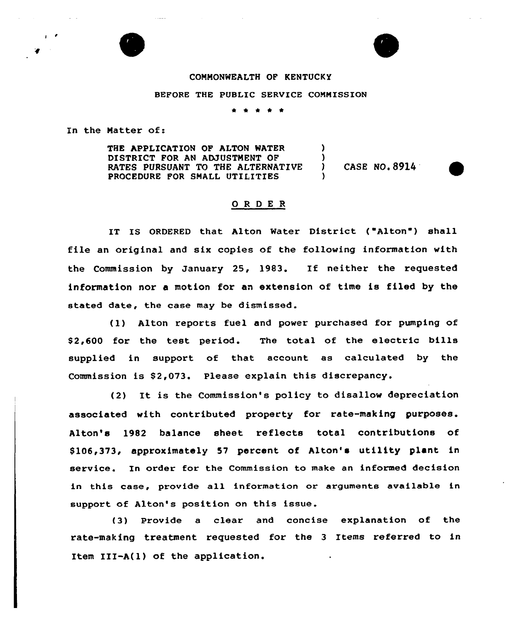## COMMONWEALTH OF KENTUCKY

## BEFORE THE PUBLIC SERVICE CONNISSION

In the Natter of:

THE APPLICATION OF ALTON WATER DISTRICT FOR AN ADJUSTMENT OF RATES PURSUANT TO THE ALTERNATIVE PROCEDURE FOR SMALL UTILITIES ) ) )

) CASE NO. 89l4

## 0 <sup>R</sup> <sup>D</sup> E <sup>R</sup>

IT IS ORDERED that Alton Water District ("Alton") shall file an original and six copies of the following information with the Commission by January 25, 1983. If neither the requested information nor a motion for an extension of time is filed by the stated date, the case may be dismissed.

(1) Alton reports fuel and power purchased for pumping of \$ 2,600 for the test period. The total of the electric bills supplied in support of that account as calculated by the Commission is \$2,073. Please explain this discrepancy.

(2) It is the Commission's policy to disallow depreciation associated with contributed property for rate-making purposes. Alton's 1982 balance sheet reflects total contributions of \$106,373, approximately 57 percent of Alton's utility plant in service. In order for the Commission to make an informed decision in this case, provide all information or arguments available in support of Alton's position on this issue.

(3) Provide a clear and concise explanation of the rate-making treatment requested for the 3 Items referred to in Item III-A(l) of the application.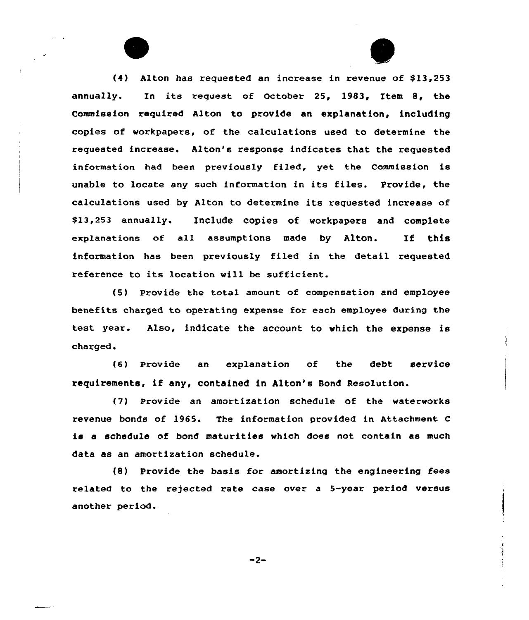(4) Alton has requested an increase in revenue of \$13,253 annually. Xn its request of October 25, 19&3, Item 8, the Commission required Alton to provide an explanation, including copies of workpapers, of the calculations used to determine the requested increase. Alton's response indicates that the requested information had been previously fi1ed, yet the Commission is unable to locate any such information in its files. Provide, the calculations used by Alton to determine its requested increase of \$13,253 annually. Include copies of workpapers and complete explanations of all assumptions made by Alton. If this information has been previously filed in the detail requested reference to its location will be sufficient.

(5) Provide the total amount of compensation and employee benefits charged to operating expense for each employee during the test year. Also, indicate the account to which the expense is charged.

(6} Provide an explanat:ion of the debt service requirements, if any, contained in Alton's Bond Resolution.

(7} Provide an amortization schedule of the waterworks revenue bonds of 1965. The information provided in Attachment <sup>C</sup> is a schedule of bond maturities which does not contain as much data as an amortization schedule.

(8) Provide the basis for amortizing the engineering fees related to the rejected rate case over a 5-year period versus another period.

 $-2-$